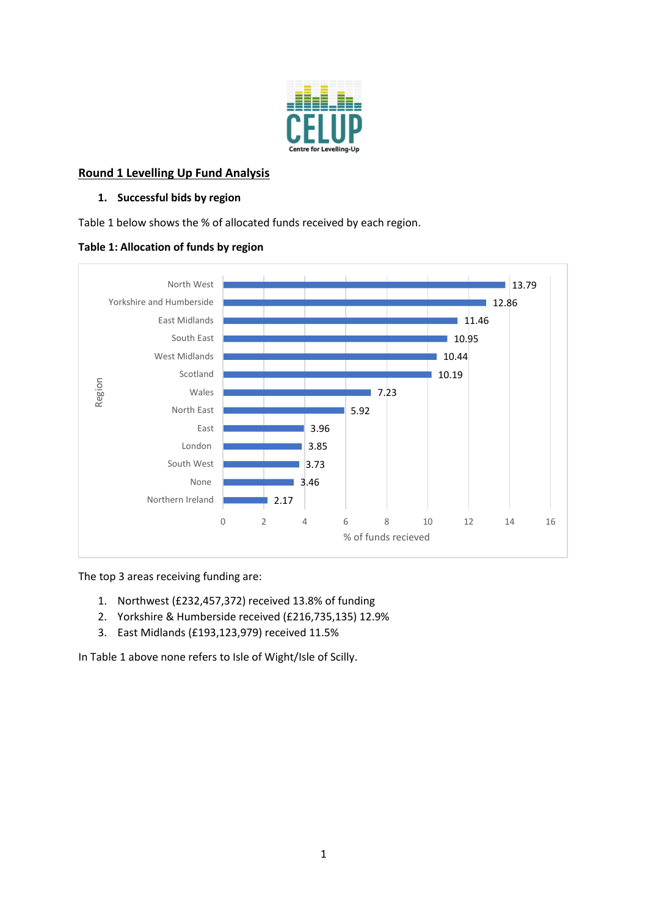

# **Round 1 Levelling Up Fund Analysis**

### **1. Successful bids by region**

Table 1 below shows the % of allocated funds received by each region.

## **Table 1: Allocation of funds by region**



The top 3 areas receiving funding are:

- 1. Northwest (£232,457,372) received 13.8% of funding
- 2. Yorkshire & Humberside received (£216,735,135) 12.9%
- 3. East Midlands (£193,123,979) received 11.5%

In Table 1 above none refers to Isle of Wight/Isle of Scilly.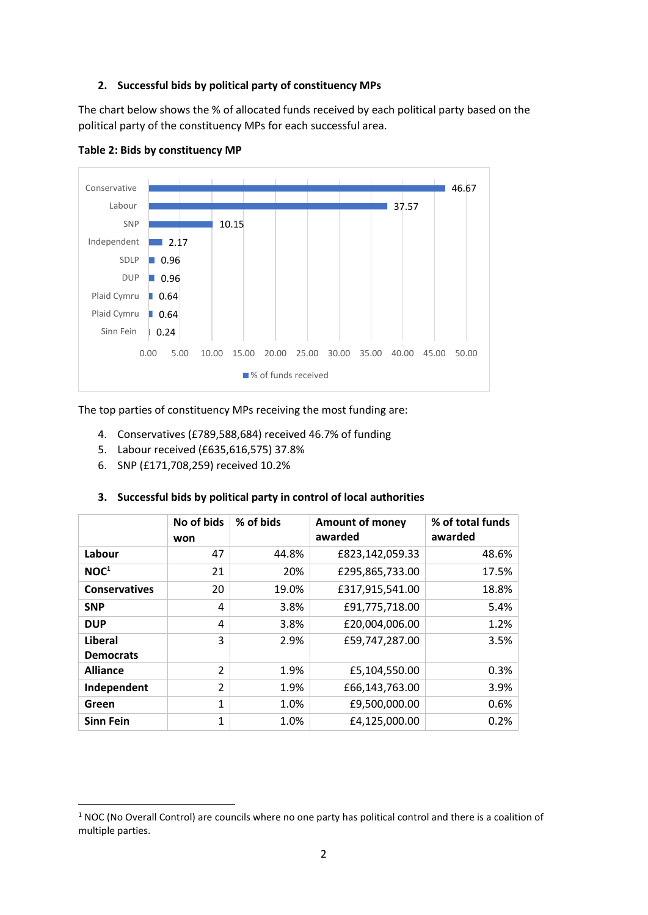### **2. Successful bids by political party of constituency MPs**

The chart below shows the % of allocated funds received by each political party based on the political party of the constituency MPs for each successful area.



**Table 2: Bids by constituency MP**

The top parties of constituency MPs receiving the most funding are:

- 4. Conservatives (£789,588,684) received 46.7% of funding
- 5. Labour received (£635,616,575) 37.8%
- 6. SNP (£171,708,259) received 10.2%

|                             | No of bids<br>won | % of bids | <b>Amount of money</b><br>awarded | % of total funds<br>awarded |
|-----------------------------|-------------------|-----------|-----------------------------------|-----------------------------|
| Labour                      | 47                | 44.8%     | £823,142,059.33                   | 48.6%                       |
| NOC <sup>1</sup>            | 21                | 20%       | £295,865,733.00                   | 17.5%                       |
| <b>Conservatives</b>        | 20                | 19.0%     | £317,915,541.00                   | 18.8%                       |
| <b>SNP</b>                  | 4                 | 3.8%      | £91,775,718.00                    | 5.4%                        |
| <b>DUP</b>                  | 4                 | 3.8%      | £20,004,006.00                    | 1.2%                        |
| Liberal<br><b>Democrats</b> | 3                 | 2.9%      | £59,747,287.00                    | 3.5%                        |
| <b>Alliance</b>             | $\overline{2}$    | 1.9%      | £5,104,550.00                     | 0.3%                        |
| Independent                 | $\overline{2}$    | 1.9%      | £66,143,763.00                    | 3.9%                        |
| Green                       | 1                 | 1.0%      | £9,500,000.00                     | 0.6%                        |
| <b>Sinn Fein</b>            | 1                 | 1.0%      | £4,125,000.00                     | 0.2%                        |

#### **3. Successful bids by political party in control of local authorities**

 $1$  NOC (No Overall Control) are councils where no one party has political control and there is a coalition of multiple parties.